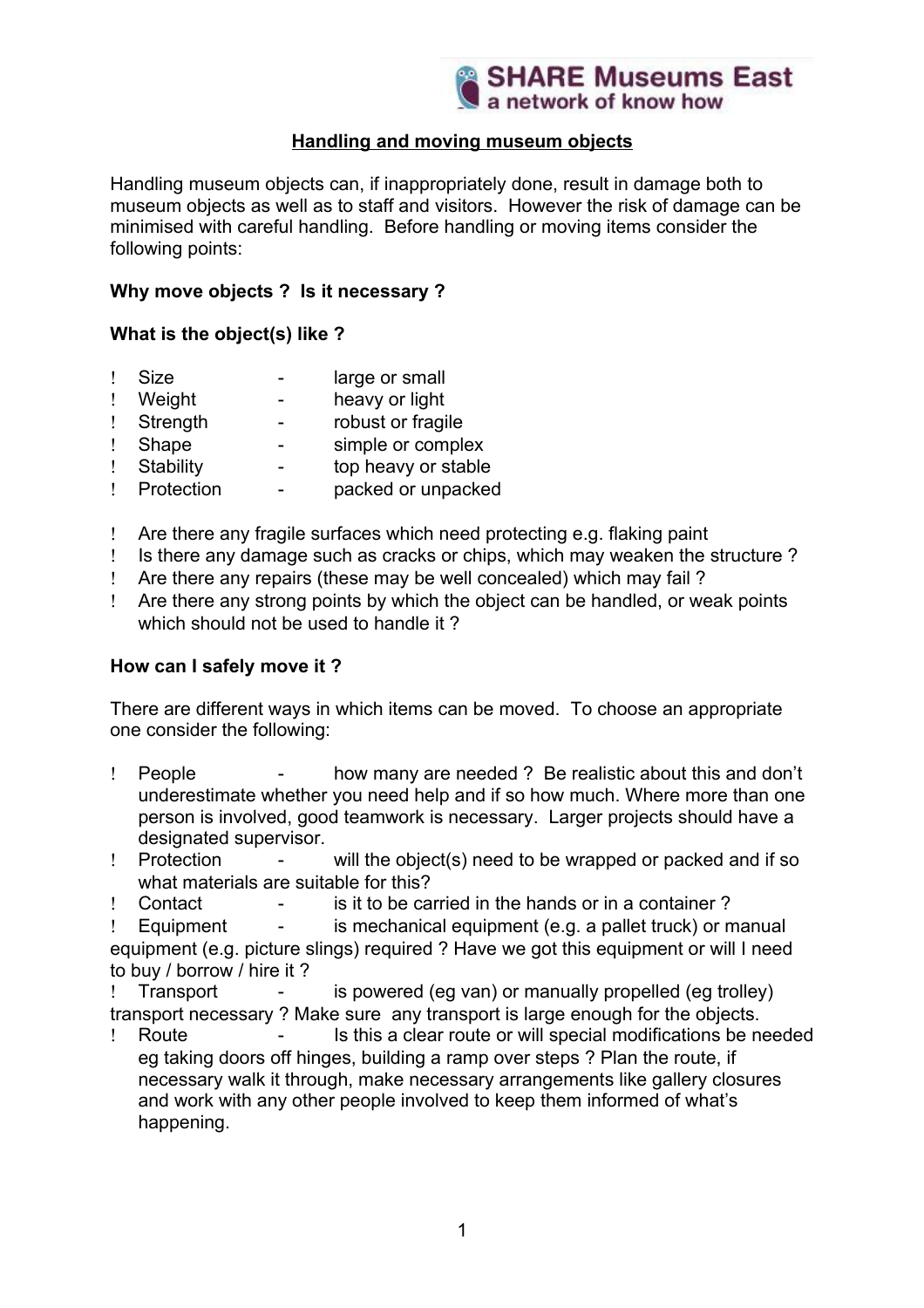

# **Handling and moving museum objects**

Handling museum objects can, if inappropriately done, result in damage both to museum objects as well as to staff and visitors. However the risk of damage can be minimised with careful handling. Before handling or moving items consider the following points:

# **Why move objects ? Is it necessary ?**

# **What is the object(s) like ?**

- Size large or small
- Weight heavy or light
- Strength robust or fragile
- Shape simple or complex
- Stability top heavy or stable
- Protection packed or unpacked
- Are there any fragile surfaces which need protecting e.g. flaking paint
- Is there any damage such as cracks or chips, which may weaken the structure ?
- Are there any repairs (these may be well concealed) which may fail ?
- Are there any strong points by which the object can be handled, or weak points which should not be used to handle it?

# **How can I safely move it ?**

There are different ways in which items can be moved. To choose an appropriate one consider the following:

- People how many are needed ? Be realistic about this and don't underestimate whether you need help and if so how much. Where more than one person is involved, good teamwork is necessary. Larger projects should have a designated supervisor.
- Protection will the object(s) need to be wrapped or packed and if so what materials are suitable for this?
- Contact is it to be carried in the hands or in a container ?

 $!$  Equipment - is mechanical equipment (e.g. a pallet truck) or manual equipment (e.g. picture slings) required ? Have we got this equipment or will I need to buy / borrow / hire it ?

 Transport - is powered (eg van) or manually propelled (eg trolley) transport necessary ? Make sure any transport is large enough for the objects.

 Route - Is this a clear route or will special modifications be needed eg taking doors off hinges, building a ramp over steps ? Plan the route, if necessary walk it through, make necessary arrangements like gallery closures and work with any other people involved to keep them informed of what's happening.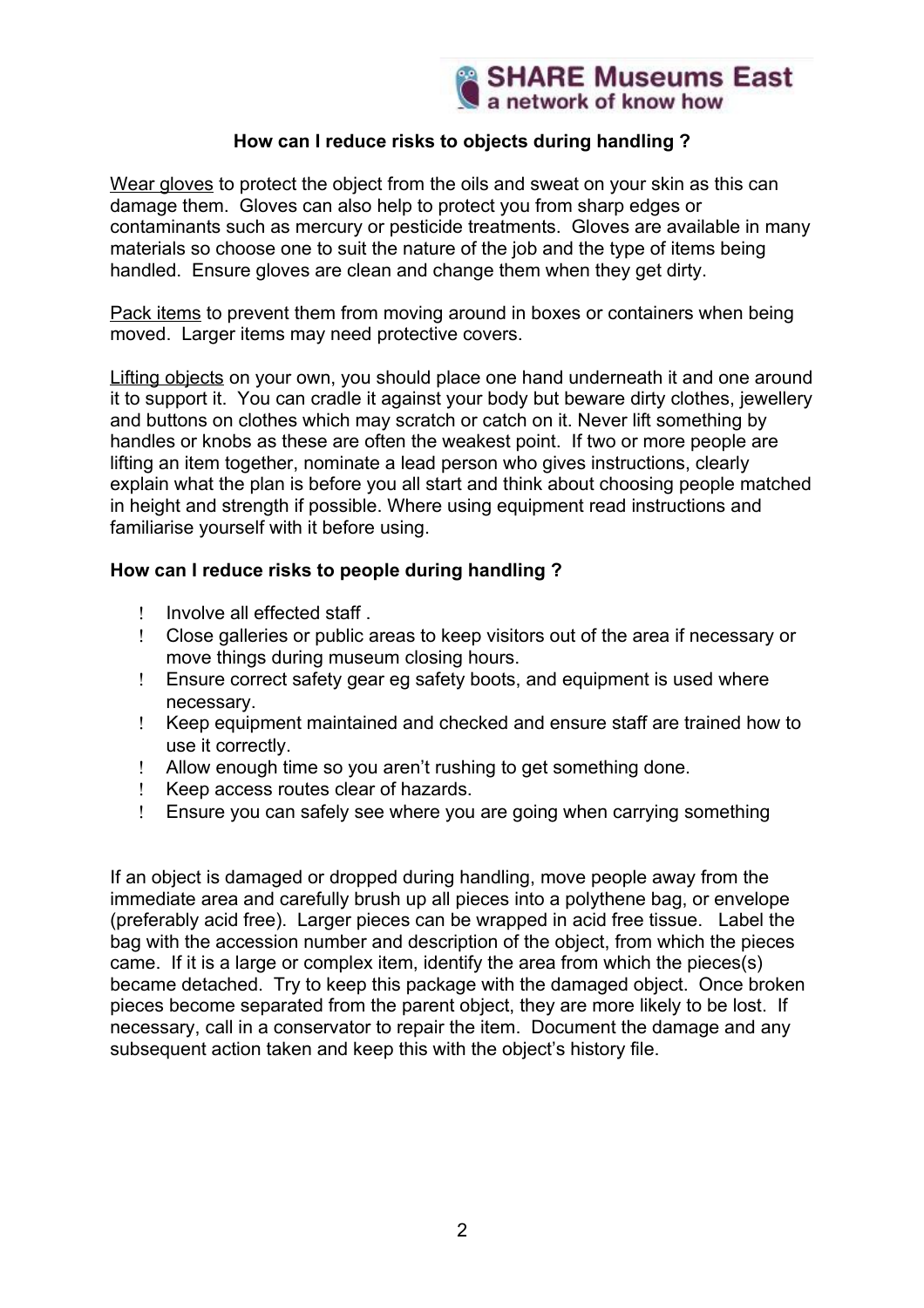# **How can I reduce risks to objects during handling ?**

Wear gloves to protect the object from the oils and sweat on your skin as this can damage them. Gloves can also help to protect you from sharp edges or contaminants such as mercury or pesticide treatments. Gloves are available in many materials so choose one to suit the nature of the job and the type of items being handled. Ensure gloves are clean and change them when they get dirty.

Pack items to prevent them from moving around in boxes or containers when being moved. Larger items may need protective covers.

Lifting objects on your own, you should place one hand underneath it and one around it to support it. You can cradle it against your body but beware dirty clothes, jewellery and buttons on clothes which may scratch or catch on it. Never lift something by handles or knobs as these are often the weakest point. If two or more people are lifting an item together, nominate a lead person who gives instructions, clearly explain what the plan is before you all start and think about choosing people matched in height and strength if possible. Where using equipment read instructions and familiarise yourself with it before using.

## **How can I reduce risks to people during handling ?**

- Involve all effected staff .
- Close galleries or public areas to keep visitors out of the area if necessary or move things during museum closing hours.
- Ensure correct safety gear eg safety boots, and equipment is used where necessary.
- Keep equipment maintained and checked and ensure staff are trained how to use it correctly.
- Allow enough time so you aren't rushing to get something done.
- Keep access routes clear of hazards.
- Ensure you can safely see where you are going when carrying something

If an object is damaged or dropped during handling, move people away from the immediate area and carefully brush up all pieces into a polythene bag, or envelope (preferably acid free). Larger pieces can be wrapped in acid free tissue. Label the bag with the accession number and description of the object, from which the pieces came. If it is a large or complex item, identify the area from which the pieces(s) became detached. Try to keep this package with the damaged object. Once broken pieces become separated from the parent object, they are more likely to be lost. If necessary, call in a conservator to repair the item. Document the damage and any subsequent action taken and keep this with the object's history file.